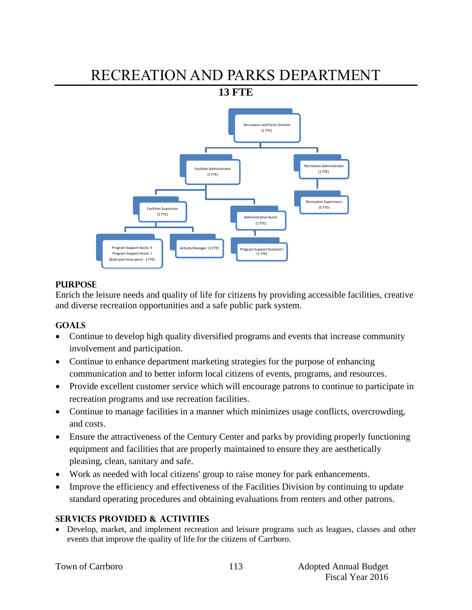# RECREATION AND PARKS DEPARTMENT

**13 FTE** 



# **PURPOSE**

Enrich the leisure needs and quality of life for citizens by providing accessible facilities, creative and diverse recreation opportunities and a safe public park system.

# **GOALS**

- Continue to develop high quality diversified programs and events that increase community involvement and participation.
- Continue to enhance department marketing strategies for the purpose of enhancing communication and to better inform local citizens of events, programs, and resources.
- Provide excellent customer service which will encourage patrons to continue to participate in recreation programs and use recreation facilities.
- Continue to manage facilities in a manner which minimizes usage conflicts, overcrowding, and costs.
- Ensure the attractiveness of the Century Center and parks by providing properly functioning equipment and facilities that are properly maintained to ensure they are aesthetically pleasing, clean, sanitary and safe.
- Work as needed with local citizens' group to raise money for park enhancements.
- Improve the efficiency and effectiveness of the Facilities Division by continuing to update standard operating procedures and obtaining evaluations from renters and other patrons.

# **SERVICES PROVIDED & ACTIVITIES**

 Develop, market, and implement recreation and leisure programs such as leagues, classes and other events that improve the quality of life for the citizens of Carrboro.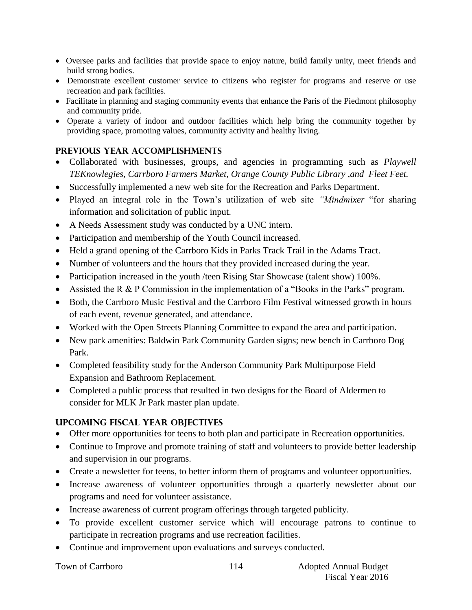- Oversee parks and facilities that provide space to enjoy nature, build family unity, meet friends and build strong bodies.
- Demonstrate excellent customer service to citizens who register for programs and reserve or use recreation and park facilities.
- Facilitate in planning and staging community events that enhance the Paris of the Piedmont philosophy and community pride.
- Operate a variety of indoor and outdoor facilities which help bring the community together by providing space, promoting values, community activity and healthy living.

# **PREVIOUS YEAR ACCOMPLISHMENTS**

- Collaborated with businesses, groups, and agencies in programming such as *Playwell TEKnowlegies, Carrboro Farmers Market, Orange County Public Library ,and Fleet Feet.*
- Successfully implemented a new web site for the Recreation and Parks Department.
- Played an integral role in the Town's utilization of web site *"Mindmixer* "for sharing information and solicitation of public input.
- A Needs Assessment study was conducted by a UNC intern.
- Participation and membership of the Youth Council increased.
- Held a grand opening of the Carrboro Kids in Parks Track Trail in the Adams Tract.
- Number of volunteers and the hours that they provided increased during the year.
- Participation increased in the youth /teen Rising Star Showcase (talent show) 100%.
- Assisted the R & P Commission in the implementation of a "Books in the Parks" program.
- Both, the Carrboro Music Festival and the Carrboro Film Festival witnessed growth in hours of each event, revenue generated, and attendance.
- Worked with the Open Streets Planning Committee to expand the area and participation.
- New park amenities: Baldwin Park Community Garden signs; new bench in Carrboro Dog Park.
- Completed feasibility study for the Anderson Community Park Multipurpose Field Expansion and Bathroom Replacement.
- Completed a public process that resulted in two designs for the Board of Aldermen to consider for MLK Jr Park master plan update.

# **UPCOMING FISCAL YEAR OBJECTIVES**

- Offer more opportunities for teens to both plan and participate in Recreation opportunities.
- Continue to Improve and promote training of staff and volunteers to provide better leadership and supervision in our programs.
- Create a newsletter for teens, to better inform them of programs and volunteer opportunities.
- Increase awareness of volunteer opportunities through a quarterly newsletter about our programs and need for volunteer assistance.
- Increase awareness of current program offerings through targeted publicity.
- To provide excellent customer service which will encourage patrons to continue to participate in recreation programs and use recreation facilities.
- Continue and improvement upon evaluations and surveys conducted.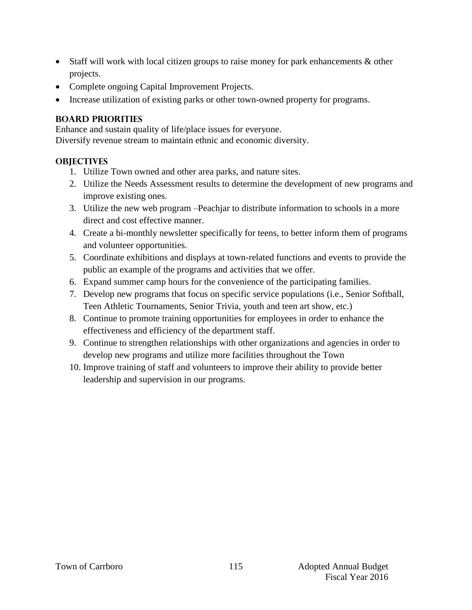- Staff will work with local citizen groups to raise money for park enhancements & other projects.
- Complete ongoing Capital Improvement Projects.
- Increase utilization of existing parks or other town-owned property for programs.

# **BOARD PRIORITIES**

Enhance and sustain quality of life/place issues for everyone. Diversify revenue stream to maintain ethnic and economic diversity.

# **OBJECTIVES**

- 1. Utilize Town owned and other area parks, and nature sites.
- 2. Utilize the Needs Assessment results to determine the development of new programs and improve existing ones.
- 3. Utilize the new web program –Peachjar to distribute information to schools in a more direct and cost effective manner.
- 4. Create a bi-monthly newsletter specifically for teens, to better inform them of programs and volunteer opportunities.
- 5. Coordinate exhibitions and displays at town-related functions and events to provide the public an example of the programs and activities that we offer.
- 6. Expand summer camp hours for the convenience of the participating families.
- 7. Develop new programs that focus on specific service populations (i.e., Senior Softball, Teen Athletic Tournaments, Senior Trivia, youth and teen art show, etc.)
- 8. Continue to promote training opportunities for employees in order to enhance the effectiveness and efficiency of the department staff.
- 9. Continue to strengthen relationships with other organizations and agencies in order to develop new programs and utilize more facilities throughout the Town
- 10. Improve training of staff and volunteers to improve their ability to provide better leadership and supervision in our programs.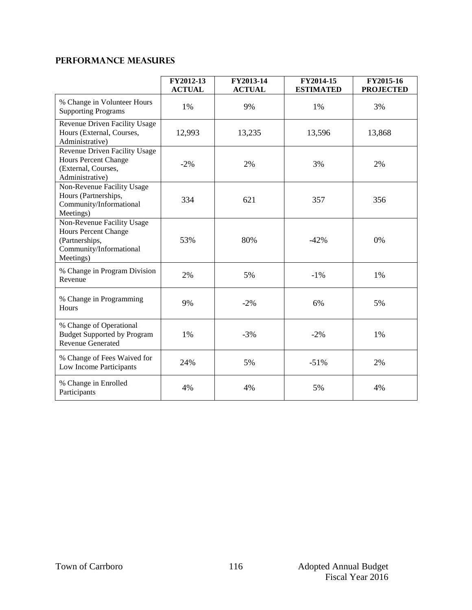# **Performance Measures**

|                                                                                                                     | FY2012-13<br><b>ACTUAL</b> | FY2013-14<br><b>ACTUAL</b> | FY2014-15<br><b>ESTIMATED</b> | FY2015-16<br><b>PROJECTED</b> |
|---------------------------------------------------------------------------------------------------------------------|----------------------------|----------------------------|-------------------------------|-------------------------------|
| % Change in Volunteer Hours<br><b>Supporting Programs</b>                                                           | 1%                         | 9%                         | 1%                            | 3%                            |
| Revenue Driven Facility Usage<br>Hours (External, Courses,<br>Administrative)                                       | 12,993                     | 13,235                     | 13,596                        | 13,868                        |
| Revenue Driven Facility Usage<br><b>Hours Percent Change</b><br>(External, Courses,<br>Administrative)              | $-2\%$                     | 2%                         | 3%                            | 2%                            |
| Non-Revenue Facility Usage<br>Hours (Partnerships,<br>Community/Informational<br>Meetings)                          | 334                        | 621                        | 357                           | 356                           |
| Non-Revenue Facility Usage<br><b>Hours Percent Change</b><br>(Partnerships,<br>Community/Informational<br>Meetings) | 53%                        | 80%                        | $-42%$                        | 0%                            |
| % Change in Program Division<br>Revenue                                                                             | 2%                         | 5%                         | $-1%$                         | 1%                            |
| % Change in Programming<br><b>Hours</b>                                                                             | 9%                         | $-2%$                      | 6%                            | 5%                            |
| % Change of Operational<br><b>Budget Supported by Program</b><br><b>Revenue Generated</b>                           | 1%                         | $-3%$                      | $-2%$                         | 1%                            |
| % Change of Fees Waived for<br>Low Income Participants                                                              | 24%                        | 5%                         | $-51%$                        | 2%                            |
| % Change in Enrolled<br>Participants                                                                                | 4%                         | 4%                         | 5%                            | 4%                            |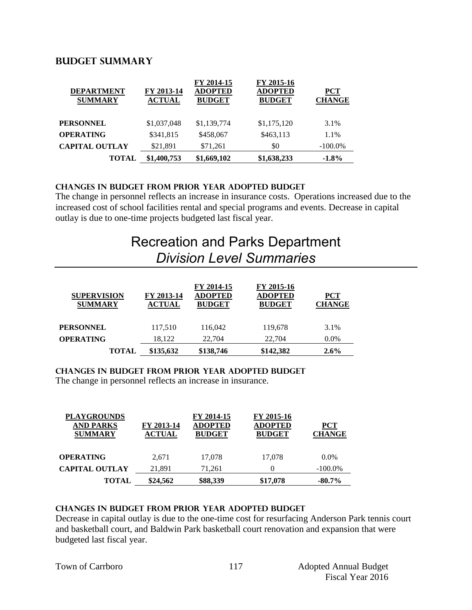# **BUDGET summary**

| <b>TOTAL</b>                        | \$1,400,753                 | \$1,669,102                                   | \$1,638,233                                   | $-1.8%$                     |
|-------------------------------------|-----------------------------|-----------------------------------------------|-----------------------------------------------|-----------------------------|
| <b>CAPITAL OUTLAY</b>               | \$21,891                    | \$71,261                                      | \$0                                           | $-100.0\%$                  |
| <b>OPERATING</b>                    | \$341,815                   | \$458,067                                     | \$463,113                                     | 1.1%                        |
| <b>PERSONNEL</b>                    | \$1,037,048                 | \$1,139,774                                   | \$1,175,120                                   | 3.1%                        |
| <b>DEPARTMENT</b><br><b>SUMMARY</b> | FY 2013-14<br><b>ACTUAL</b> | FY 2014-15<br><b>ADOPTED</b><br><b>BUDGET</b> | FY 2015-16<br><b>ADOPTED</b><br><b>BUDGET</b> | <b>PCT</b><br><b>CHANGE</b> |

### **CHANGES IN BUDGET from PRIOR YEAR ADOPTED BUDGET**

The change in personnel reflects an increase in insurance costs. Operations increased due to the increased cost of school facilities rental and special programs and events. Decrease in capital outlay is due to one-time projects budgeted last fiscal year.

# Recreation and Parks Department *Division Level Summaries*

| <b>SUPERVISION</b><br><b>SUMMARY</b> | FY 2013-14<br><b>ACTUAL</b> | FY 2014-15<br><b>ADOPTED</b><br><b>BUDGET</b> | FY 2015-16<br><b>ADOPTED</b><br><b>BUDGET</b> | <b>PCT</b><br><b>CHANGE</b> |
|--------------------------------------|-----------------------------|-----------------------------------------------|-----------------------------------------------|-----------------------------|
| <b>PERSONNEL</b>                     | 117,510                     | 116,042                                       | 119,678                                       | 3.1%                        |
| <b>OPERATING</b>                     | 18.122                      | 22,704                                        | 22,704                                        | $0.0\%$                     |
| <b>TOTAL</b>                         | \$135,632                   | \$138,746                                     | \$142,382                                     | $2.6\%$                     |

#### **changes in budget from prior year adopted budget**

The change in personnel reflects an increase in insurance.

| <b>PLAYGROUNDS</b><br><b>AND PARKS</b><br><b>SUMMARY</b> | FY 2013-14<br><b>ACTUAL</b> | FY 2014-15<br><b>ADOPTED</b><br><b>BUDGET</b> | FY 2015-16<br><b>ADOPTED</b><br><b>BUDGET</b> | <b>PCT</b><br><b>CHANGE</b> |
|----------------------------------------------------------|-----------------------------|-----------------------------------------------|-----------------------------------------------|-----------------------------|
| <b>OPERATING</b>                                         | 2.671                       | 17,078                                        | 17.078                                        | $0.0\%$                     |
| <b>CAPITAL OUTLAY</b>                                    | 21,891                      | 71.261                                        | 0                                             | $-100.0\%$                  |
| <b>TOTAL</b>                                             | \$24,562                    | \$88,339                                      | \$17,078                                      | $-80.7\%$                   |

# **changes in budget from prior year adopted budget**

Decrease in capital outlay is due to the one-time cost for resurfacing Anderson Park tennis court and basketball court, and Baldwin Park basketball court renovation and expansion that were budgeted last fiscal year.

|  |  | Town of Carrboro |
|--|--|------------------|
|--|--|------------------|